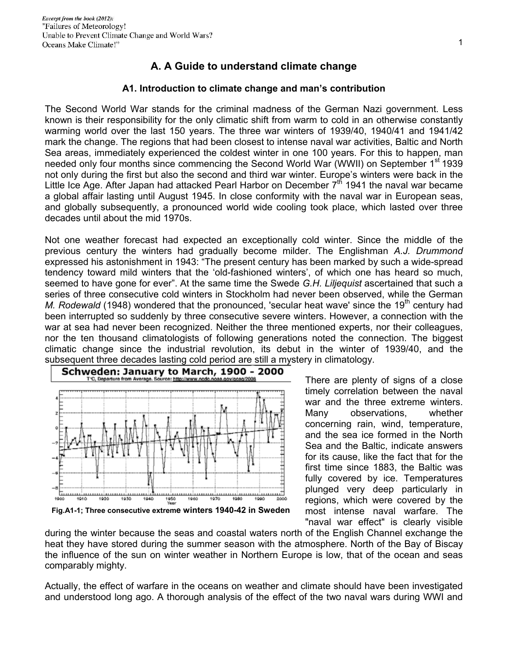## **A. A Guide to understand climate change**

## **A1. Introduction to climate change and man's contribution**

The Second World War stands for the criminal madness of the German Nazi government. Less known is their responsibility for the only climatic shift from warm to cold in an otherwise constantly warming world over the last 150 years. The three war winters of 1939/40, 1940/41 and 1941/42 mark the change. The regions that had been closest to intense naval war activities, Baltic and North Sea areas, immediately experienced the coldest winter in one 100 years. For this to happen, man needed only four months since commencing the Second World War (WWII) on September 1<sup>st</sup> 1939 not only during the first but also the second and third war winter. Europe's winters were back in the Little Ice Age. After Japan had attacked Pearl Harbor on December 7<sup>th</sup> 1941 the naval war became a global affair lasting until August 1945. In close conformity with the naval war in European seas, and globally subsequently, a pronounced world wide cooling took place, which lasted over three decades until about the mid 1970s.

Not one weather forecast had expected an exceptionally cold winter. Since the middle of the previous century the winters had gradually become milder. The Englishman *A.J. Drummond* expressed his astonishment in 1943: "The present century has been marked by such a wide-spread tendency toward mild winters that the 'old-fashioned winters', of which one has heard so much, seemed to have gone for ever". At the same time the Swede *G.H. Liljequist* ascertained that such a series of three consecutive cold winters in Stockholm had never been observed, while the German *M. Rodewald* (1948) wondered that the pronounced, 'secular heat wave' since the 19<sup>th</sup> century had been interrupted so suddenly by three consecutive severe winters. However, a connection with the war at sea had never been recognized. Neither the three mentioned experts, nor their colleagues, nor the ten thousand climatologists of following generations noted the connection. The biggest climatic change since the industrial revolution, its debut in the winter of 1939/40, and the subsequent three decades lasting cold period are still a mystery in climatology.



There are plenty of signs of a close timely correlation between the naval war and the three extreme winters. Many observations, whether concerning rain, wind, temperature, and the sea ice formed in the North Sea and the Baltic, indicate answers for its cause, like the fact that for the first time since 1883, the Baltic was fully covered by ice. Temperatures plunged very deep particularly in regions, which were covered by the most intense naval warfare. The "naval war effect" is clearly visible

during the winter because the seas and coastal waters north of the English Channel exchange the heat they have stored during the summer season with the atmosphere. North of the Bay of Biscay the influence of the sun on winter weather in Northern Europe is low, that of the ocean and seas comparably mighty.

Actually, the effect of warfare in the oceans on weather and climate should have been investigated and understood long ago. A thorough analysis of the effect of the two naval wars during WWI and